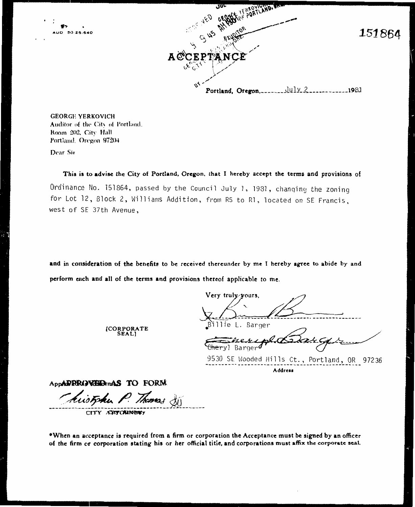

**GEORGE YERKOVICH** Auditor of the City of Portland. Room 202, City Hall Portland, Oregon 97204

Dear Sir

This is to advise the City of Portland, Oregon, that I hereby accept the terms and provisions of

Ordinance No. 151864, passed by the Council July 1, 1981, changing the zoning for Lot 12, Block 2, Williams Addition, from R5 to R1, located on SE Francis, west of SE 37th Avenue,

and in consideration of the benefits to be received thereunder by me I hereby agree to abide by and perform each and all of the terms and provisions thereof applicable to me.

Very truly-yours, Billie L. Barger

 $_{rel}$ <del>Che</del>ryl Barger

9530 SE Wooded Hills Ct., Portland, OR 97236 Address

AppADRRAVHA-mAS TO FORM

Monas

[CORPORATE<br>SEAL]

CITY AGITY ORNERY

\*When an acceptance is required from a firm or corporation the Acceptance must be signed by an officer of the firm or corporation stating his or her official titie, and corporations must affix the corporate seal.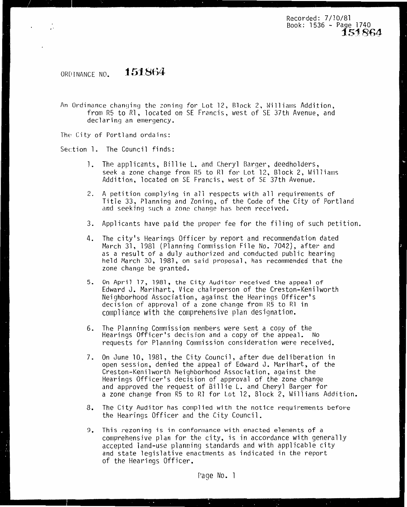Recorded: 7/10/81 Book: 1536 - Pa9e 1740 **151864-**

#### ORDINANCE NO. **151.864**

 $\mathcal{L} = \mathcal{L} \mathcal{L}$ 

 $\epsilon$ 

An Ordinance changing the zoning for Lot 12, Block 2, Williams Addition, from R5 to Rl, located on SE Francis, west of SE 37th Avenue, and declaring an emergency.

The City of Portland ordains:

Section 1. The Council finds:

- 1. The applicants, Billie L. and Cheryl Barger, deedholders, seek a zone change from R5 to R1 for Lot 12, Block 2, Williams Addition, located on SE Francis, west of SE 37th Avenue.
- 2. A petition complying in all respects with all requirements of Title 33, Planning and Zoning, of the Code of the City of Portland<br>and seeking such a zone change has been received.
- 3. Applicants have paid the proper fee for the filing of such petition.
- 4. The city's Hearings Officer by report and recommendation dated March 31, 1981 (Planning Commission File No. 7042), after and as a result of a duly authorized and conducted public hearing<br>held March 30, 1981, on said proposal, has recommended that the zone change be granted.
- 5. On April 17, 1981, the City Auditor received the appeal of Edward J. Marihart, Vice chairperson of the Creston-Kenilworth Neighborhood Association, against the Hearings Officer's decision of approval of a zone change from R5 to Rl in compliance with the comprehensive plan designation.
- 6. The Planning Commission members were sent a copy of the Hearings Officer's decision and a copy of the appeal. No requests for Planning Commission consideration were received.
- 7. On June 10, 1981, the City Council, after due deliberation in open session, denied the appeal of Edward J. Marihart, of the Creston-Kenilworth Neighborhood Association, against the Hearings Officer's decision of approval of the zone change and approved the request of Billie L. and Cheryl Barger for a zone change from R5 to Rl for Lot 12, Block 2, Williams Addition.
- 8. The City Auditor has complied with the notice requirements before the Hearings Officer and the City Council.
- 9. This rezoning is in conformance with enacted elements of a comprehensive plan for the city, is in accordance with generally accepted land-use planning standards and with applicable city and state legislative enactments as indicated in the report of the Hearings Officer.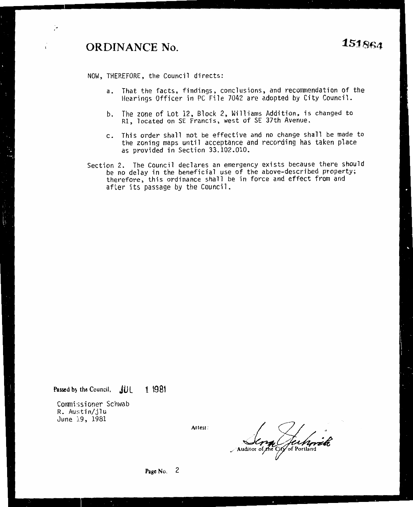# **ORDINANCE No. 151864**

;∙

 $\pmb{\mathfrak{r}}$ 

NOW, THEREFORE, the Council directs:

- a. That the facts, findings, conclusions, and recommendation of the Hearings Officer in PC File 7042 are adopted by City Council.
- b. The zone of Lot 12, Block 2, Williams Addition, is changed to Rl, located on SE Francis, west of SE 37th Avenue.
- c. This order shall not be effective and no change shall be made to the zoning maps until acceptance and recording has taken place as provided in Section 33.102.010.
- Section 2. The Council declares an emergency exists because there should be no delay in the beneficial use of the above-described property; therefore, this ordinance shall be in force and effect from and after its passage by the Council.

Passed by the Council, **JUL 1 1981** 

Commissioner Schwab R. Austin/jlu June 19, 1981

**Attest:** 

*.,/ r2*  feet port

**Page No.** 2